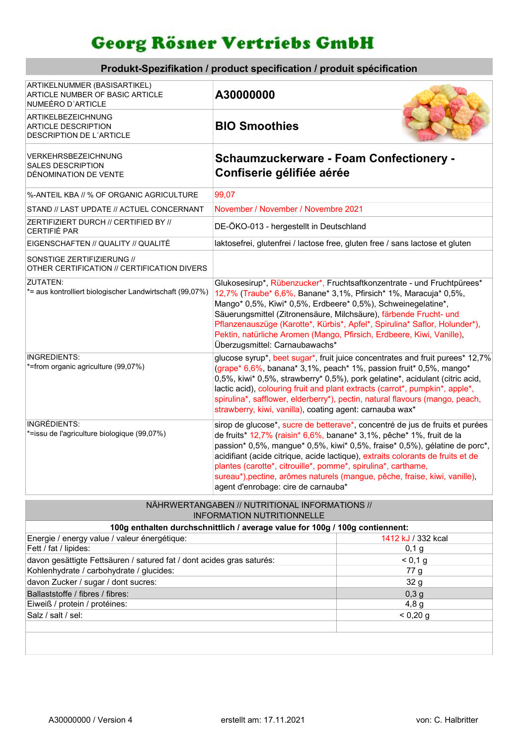## Georg Rösner Vertriebs GmbH

| Produkt-Spezifikation / product specification / produit spécification                |                                                                                                                                                                                                                                                                                                                                                                                                                                                                                                             |  |  |  |
|--------------------------------------------------------------------------------------|-------------------------------------------------------------------------------------------------------------------------------------------------------------------------------------------------------------------------------------------------------------------------------------------------------------------------------------------------------------------------------------------------------------------------------------------------------------------------------------------------------------|--|--|--|
| ARTIKELNUMMER (BASISARTIKEL)<br>ARTICLE NUMBER OF BASIC ARTICLE<br>NUMEÉRO D'ARTICLE | A30000000                                                                                                                                                                                                                                                                                                                                                                                                                                                                                                   |  |  |  |
| ARTIKELBEZEICHNUNG<br><b>ARTICLE DESCRIPTION</b><br>DESCRIPTION DE L'ARTICLE         | <b>BIO Smoothies</b>                                                                                                                                                                                                                                                                                                                                                                                                                                                                                        |  |  |  |
| VERKEHRSBEZEICHNUNG<br><b>SALES DESCRIPTION</b><br>DÉNOMINATION DE VENTE             | <b>Schaumzuckerware - Foam Confectionery -</b><br>Confiserie gélifiée aérée                                                                                                                                                                                                                                                                                                                                                                                                                                 |  |  |  |
| %-ANTEIL KBA // % OF ORGANIC AGRICULTURE                                             | 99,07                                                                                                                                                                                                                                                                                                                                                                                                                                                                                                       |  |  |  |
| STAND // LAST UPDATE // ACTUEL CONCERNANT                                            | November / November / Novembre 2021                                                                                                                                                                                                                                                                                                                                                                                                                                                                         |  |  |  |
| ZERTIFIZIERT DURCH // CERTIFIED BY //<br>CERTIFIÉ PAR                                | DE-ÖKO-013 - hergestellt in Deutschland                                                                                                                                                                                                                                                                                                                                                                                                                                                                     |  |  |  |
| EIGENSCHAFTEN // QUALITY // QUALITÉ                                                  | laktosefrei, glutenfrei / lactose free, gluten free / sans lactose et gluten                                                                                                                                                                                                                                                                                                                                                                                                                                |  |  |  |
| SONSTIGE ZERTIFIZIERUNG //<br>OTHER CERTIFICATION // CERTIFICATION DIVERS            |                                                                                                                                                                                                                                                                                                                                                                                                                                                                                                             |  |  |  |
| <b>ZUTATEN:</b><br>*= aus kontrolliert biologischer Landwirtschaft (99,07%)          | Glukosesirup*, Rübenzucker*, Fruchtsaftkonzentrate - und Fruchtpürees*<br>12,7% (Traube* 6,6%, Banane* 3,1%, Pfirsich* 1%, Maracuja* 0,5%,<br>Mango* 0,5%, Kiwi* 0,5%, Erdbeere* 0,5%), Schweinegelatine*,<br>Säuerungsmittel (Zitronensäure, Milchsäure), färbende Frucht- und<br>Pflanzenauszüge (Karotte*, Kürbis*, Apfel*, Spirulina* Saflor, Holunder*),<br>Pektin, natürliche Aromen (Mango, Pfirsich, Erdbeere, Kiwi, Vanille),<br>Überzugsmittel: Carnaubawachs*                                    |  |  |  |
| <b>INGREDIENTS:</b><br>*=from organic agriculture (99,07%)                           | glucose syrup*, beet sugar*, fruit juice concentrates and fruit purees* 12,7%<br>(grape* 6,6%, banana* 3,1%, peach* 1%, passion fruit* 0,5%, mango*<br>0,5%, kiwi* 0,5%, strawberry* 0,5%), pork gelatine*, acidulant (citric acid,<br>lactic acid), colouring fruit and plant extracts (carrot*, pumpkin*, apple*,<br>spirulina*, safflower, elderberry*), pectin, natural flavours (mango, peach,<br>strawberry, kiwi, vanilla), coating agent: carnauba wax*                                             |  |  |  |
| <b>INGRÉDIENTS:</b><br>*=issu de l'agriculture biologique (99,07%)                   | sirop de glucose*, sucre de betterave*, concentré de jus de fruits et purées<br>de fruits* 12,7% (raisin* 6,6%, banane* 3,1%, pêche* 1%, fruit de la<br>passion* 0,5%, mangue* 0,5%, kiwi* 0,5%, fraise* 0,5%), gélatine de porc*,<br>acidifiant (acide citrique, acide lactique), extraits colorants de fruits et de<br>plantes (carotte*, citrouille*, pomme*, spirulina*, carthame,<br>sureau*), pectine, arômes naturels (mangue, pêche, fraise, kiwi, vanille),<br>agent d'enrobage: cire de carnauba* |  |  |  |

## NÄHRWERTANGABEN // NUTRITIONAL INFORMATIONS // INFORMATION NUTRITIONNELLE

| 100g enthalten durchschnittlich / average value for 100g / 100g contiennent: |                    |  |  |  |
|------------------------------------------------------------------------------|--------------------|--|--|--|
| Energie / energy value / valeur énergétique:                                 | 1412 kJ / 332 kcal |  |  |  |
| Fett / fat / lipides:                                                        | 0,1,9              |  |  |  |
| davon gesättigte Fettsäuren / satured fat / dont acides gras saturés:        | < 0.1 g            |  |  |  |
| Kohlenhydrate / carbohydrate / glucides:                                     | 77 g               |  |  |  |
| davon Zucker / sugar / dont sucres:                                          | 32 g               |  |  |  |
| Ballaststoffe / fibres / fibres:                                             | 0,3g               |  |  |  |
| Eiweiß / protein / protéines:                                                | 4,8g               |  |  |  |
| Salz / salt / sel:                                                           | $< 0,20$ g         |  |  |  |
|                                                                              |                    |  |  |  |
|                                                                              |                    |  |  |  |